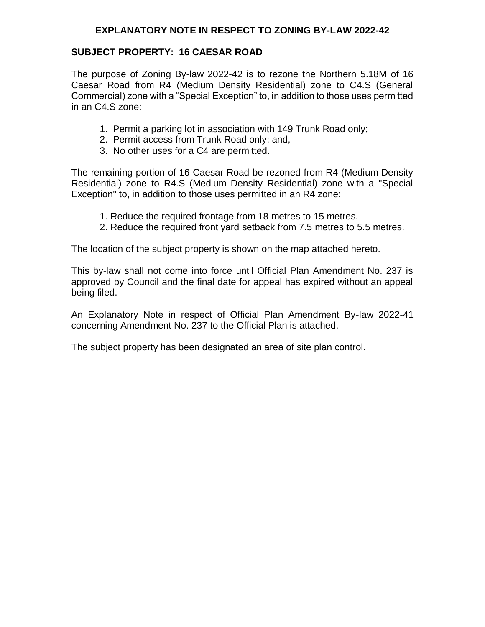## **EXPLANATORY NOTE IN RESPECT TO ZONING BY-LAW 2022-42**

## **SUBJECT PROPERTY: 16 CAESAR ROAD**

The purpose of Zoning By-law 2022-42 is to rezone the Northern 5.18M of 16 Caesar Road from R4 (Medium Density Residential) zone to C4.S (General Commercial) zone with a "Special Exception" to, in addition to those uses permitted in an C4.S zone:

- 1. Permit a parking lot in association with 149 Trunk Road only;
- 2. Permit access from Trunk Road only; and,
- 3. No other uses for a C4 are permitted.

The remaining portion of 16 Caesar Road be rezoned from R4 (Medium Density Residential) zone to R4.S (Medium Density Residential) zone with a "Special Exception" to, in addition to those uses permitted in an R4 zone:

- 1. Reduce the required frontage from 18 metres to 15 metres.
- 2. Reduce the required front yard setback from 7.5 metres to 5.5 metres.

The location of the subject property is shown on the map attached hereto.

This by-law shall not come into force until Official Plan Amendment No. 237 is approved by Council and the final date for appeal has expired without an appeal being filed.

An Explanatory Note in respect of Official Plan Amendment By-law 2022-41 concerning Amendment No. 237 to the Official Plan is attached.

The subject property has been designated an area of site plan control.